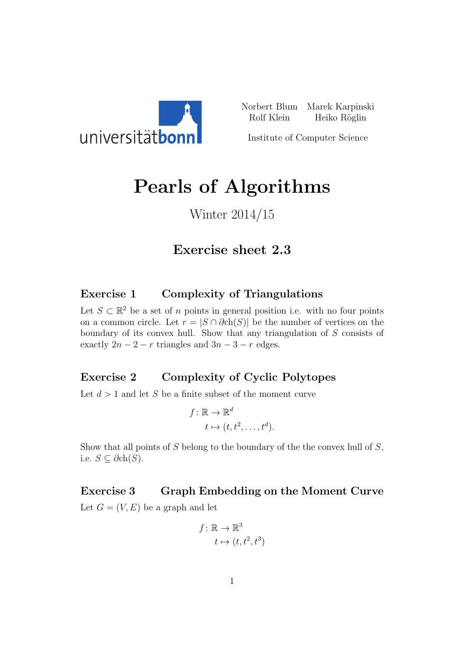

Norbert Blum Marek Karpinski Rolf Klein Heiko Röglin

Institute of Computer Science

# Pearls of Algorithms

## Winter 2014/15

## Exercise sheet 2.3

#### Exercise 1 Complexity of Triangulations

Let  $S \subset \mathbb{R}^2$  be a set of *n* points in general position i.e. with no four points on a common circle. Let  $r = |S \cap \partial ch(S)|$  be the number of vertices on the boundary of its convex hull. Show that any triangulation of S consists of exactly  $2n - 2 - r$  triangles and  $3n - 3 - r$  edges.

### Exercise 2 Complexity of Cyclic Polytopes

Let  $d > 1$  and let S be a finite subset of the moment curve

$$
f: \mathbb{R} \to \mathbb{R}^d
$$

$$
t \mapsto (t, t^2, \dots, t^d).
$$

Show that all points of  $S$  belong to the boundary of the the convex hull of  $S$ , i.e.  $S \subseteq \partial ch(S)$ .

#### Exercise 3 Graph Embedding on the Moment Curve

Let  $G = (V, E)$  be a graph and let

$$
f: \mathbb{R} \to \mathbb{R}^3
$$

$$
t \mapsto (t, t^2, t^3)
$$